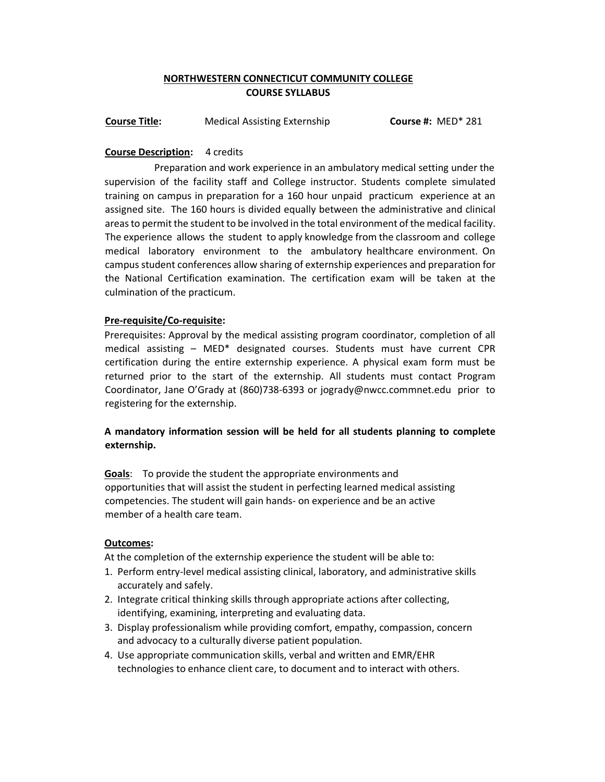# **NORTHWESTERN CONNECTICUT COMMUNITY COLLEGE COURSE SYLLABUS**

**Course Title:** Medical Assisting Externship **Course #:** MED\* 281

### **Course Description:** 4 credits

Preparation and work experience in an ambulatory medical setting under the supervision of the facility staff and College instructor. Students complete simulated training on campus in preparation for a 160 hour unpaid practicum experience at an assigned site. The 160 hours is divided equally between the administrative and clinical areas to permit the student to be involved in the total environment of the medical facility. The experience allows the student to apply knowledge from the classroom and college medical laboratory environment to the ambulatory healthcare environment. On campus student conferences allow sharing of externship experiences and preparation for the National Certification examination. The certification exam will be taken at the culmination of the practicum.

#### **Pre-requisite/Co-requisite:**

Prerequisites: Approval by the medical assisting program coordinator, completion of all medical assisting – MED\* designated courses. Students must have current CPR certification during the entire externship experience. A physical exam form must be returned prior to the start of the externship. All students must contact Program Coordinator, Jane O'Grady at (860)738-6393 or jogrady@nwcc.commnet.edu prior to registering for the externship.

## **A mandatory information session will be held for all students planning to complete externship.**

**Goals**: To provide the student the appropriate environments and opportunities that will assist the student in perfecting learned medical assisting competencies. The student will gain hands- on experience and be an active member of a health care team.

#### **Outcomes:**

At the completion of the externship experience the student will be able to:

- 1. Perform entry-level medical assisting clinical, laboratory, and administrative skills accurately and safely.
- 2. Integrate critical thinking skills through appropriate actions after collecting, identifying, examining, interpreting and evaluating data.
- 3. Display professionalism while providing comfort, empathy, compassion, concern and advocacy to a culturally diverse patient population.
- 4. Use appropriate communication skills, verbal and written and EMR/EHR technologies to enhance client care, to document and to interact with others.